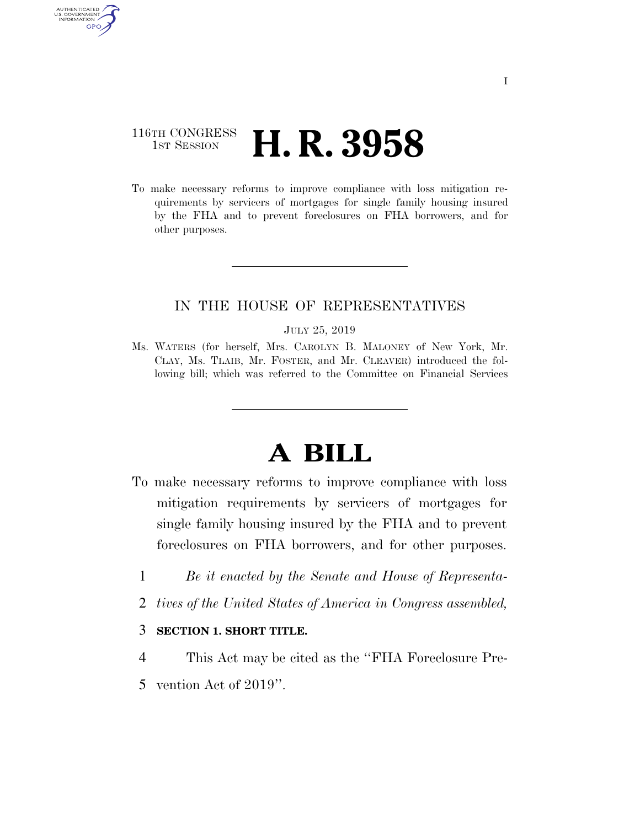### 116TH CONGRESS **1st Session H. R. 3958**

AUTHENTICATED U.S. GOVERNMENT **GPO** 

> To make necessary reforms to improve compliance with loss mitigation requirements by servicers of mortgages for single family housing insured by the FHA and to prevent foreclosures on FHA borrowers, and for other purposes.

#### IN THE HOUSE OF REPRESENTATIVES

#### JULY 25, 2019

Ms. WATERS (for herself, Mrs. CAROLYN B. MALONEY of New York, Mr. CLAY, Ms. TLAIB, Mr. FOSTER, and Mr. CLEAVER) introduced the following bill; which was referred to the Committee on Financial Services

# **A BILL**

- To make necessary reforms to improve compliance with loss mitigation requirements by servicers of mortgages for single family housing insured by the FHA and to prevent foreclosures on FHA borrowers, and for other purposes.
	- 1 *Be it enacted by the Senate and House of Representa-*
	- 2 *tives of the United States of America in Congress assembled,*

#### 3 **SECTION 1. SHORT TITLE.**

- 4 This Act may be cited as the ''FHA Foreclosure Pre-
- 5 vention Act of 2019''.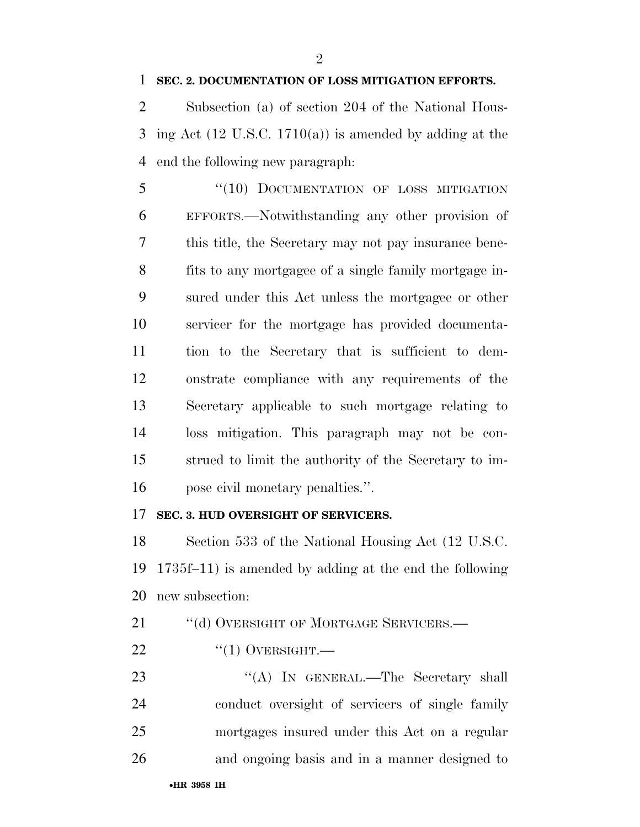#### **SEC. 2. DOCUMENTATION OF LOSS MITIGATION EFFORTS.**

 $\mathfrak{D}$ 

 Subsection (a) of section 204 of the National Hous-3 ing Act (12 U.S.C. 1710(a)) is amended by adding at the end the following new paragraph:

5 "(10) DOCUMENTATION OF LOSS MITIGATION EFFORTS.—Notwithstanding any other provision of this title, the Secretary may not pay insurance bene- fits to any mortgagee of a single family mortgage in- sured under this Act unless the mortgagee or other servicer for the mortgage has provided documenta- tion to the Secretary that is sufficient to dem- onstrate compliance with any requirements of the Secretary applicable to such mortgage relating to loss mitigation. This paragraph may not be con- strued to limit the authority of the Secretary to im-pose civil monetary penalties.''.

#### **SEC. 3. HUD OVERSIGHT OF SERVICERS.**

 Section 533 of the National Housing Act (12 U.S.C. 1735f–11) is amended by adding at the end the following new subsection:

21 "(d) OVERSIGHT OF MORTGAGE SERVICERS.—

 $^{(4)}$ (1) OVERSIGHT.

23 "(A) In GENERAL.—The Secretary shall conduct oversight of servicers of single family mortgages insured under this Act on a regular and ongoing basis and in a manner designed to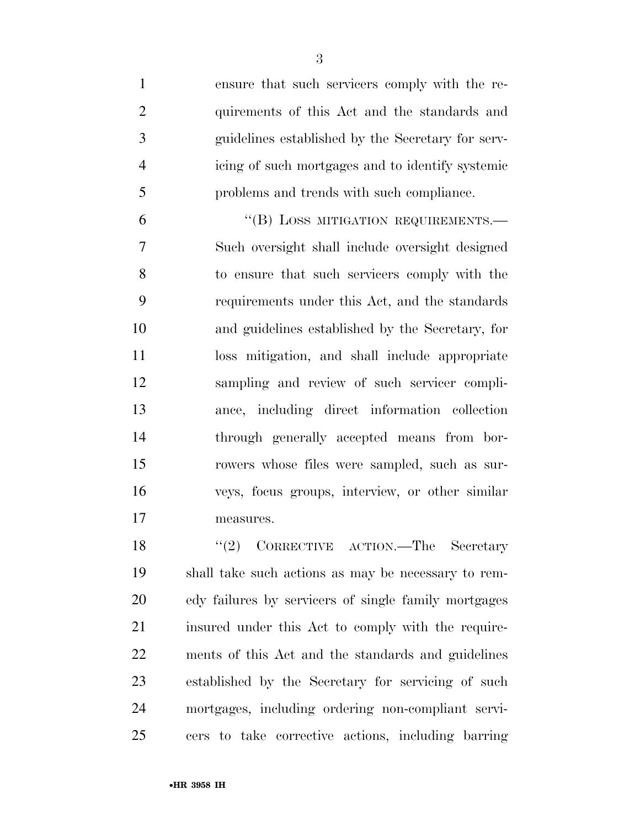ensure that such servicers comply with the re- quirements of this Act and the standards and guidelines established by the Secretary for serv- icing of such mortgages and to identify systemic problems and trends with such compliance.

6 "(B) LOSS MITIGATION REQUIREMENTS. Such oversight shall include oversight designed to ensure that such servicers comply with the requirements under this Act, and the standards and guidelines established by the Secretary, for loss mitigation, and shall include appropriate sampling and review of such servicer compli- ance, including direct information collection through generally accepted means from bor- rowers whose files were sampled, such as sur- veys, focus groups, interview, or other similar measures.

18 ''(2) CORRECTIVE ACTION.—The Secretary shall take such actions as may be necessary to rem- edy failures by servicers of single family mortgages 21 insured under this Act to comply with the require- ments of this Act and the standards and guidelines established by the Secretary for servicing of such mortgages, including ordering non-compliant servi-cers to take corrective actions, including barring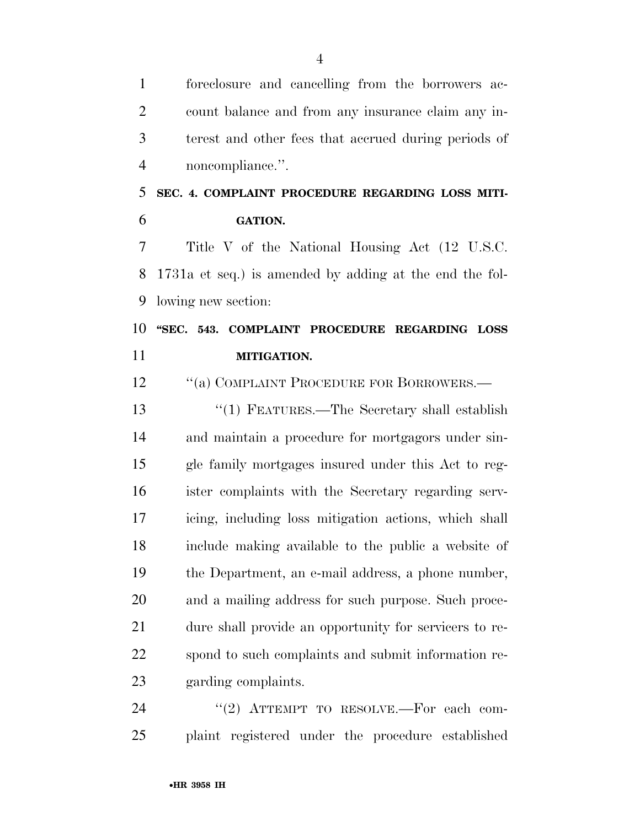foreclosure and cancelling from the borrowers ac- count balance and from any insurance claim any in- terest and other fees that accrued during periods of noncompliance.''.

## **SEC. 4. COMPLAINT PROCEDURE REGARDING LOSS MITI-GATION.**

 Title V of the National Housing Act (12 U.S.C. 1731a et seq.) is amended by adding at the end the fol-lowing new section:

### **''SEC. 543. COMPLAINT PROCEDURE REGARDING LOSS MITIGATION.**

12 "(a) COMPLAINT PROCEDURE FOR BORROWERS.—

 ''(1) FEATURES.—The Secretary shall establish and maintain a procedure for mortgagors under sin- gle family mortgages insured under this Act to reg- ister complaints with the Secretary regarding serv- icing, including loss mitigation actions, which shall include making available to the public a website of the Department, an e-mail address, a phone number, and a mailing address for such purpose. Such proce- dure shall provide an opportunity for servicers to re- spond to such complaints and submit information re-garding complaints.

24 "(2) ATTEMPT TO RESOLVE.—For each com-plaint registered under the procedure established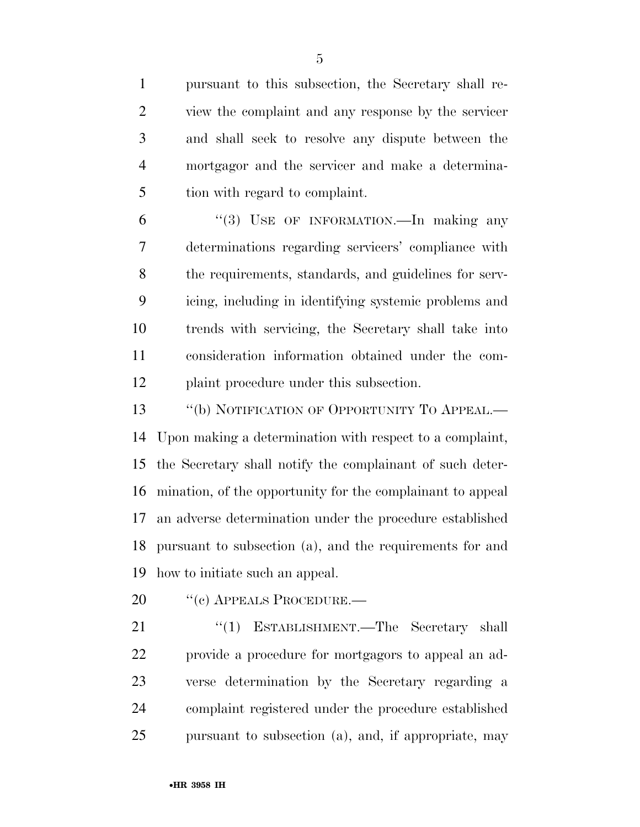pursuant to this subsection, the Secretary shall re- view the complaint and any response by the servicer and shall seek to resolve any dispute between the mortgagor and the servicer and make a determina-tion with regard to complaint.

 ''(3) USE OF INFORMATION.—In making any determinations regarding servicers' compliance with the requirements, standards, and guidelines for serv- icing, including in identifying systemic problems and trends with servicing, the Secretary shall take into consideration information obtained under the com-plaint procedure under this subsection.

13 "(b) NOTIFICATION OF OPPORTUNITY TO APPEAL.— Upon making a determination with respect to a complaint, the Secretary shall notify the complainant of such deter- mination, of the opportunity for the complainant to appeal an adverse determination under the procedure established pursuant to subsection (a), and the requirements for and how to initiate such an appeal.

20 "(c) APPEALS PROCEDURE.—

21 "(1) ESTABLISHMENT.—The Secretary shall provide a procedure for mortgagors to appeal an ad- verse determination by the Secretary regarding a complaint registered under the procedure established pursuant to subsection (a), and, if appropriate, may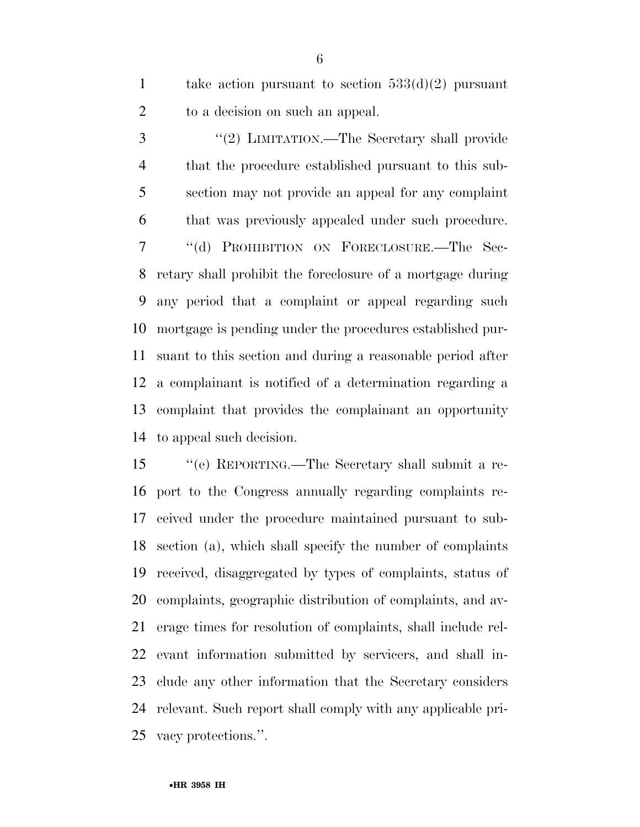1 take action pursuant to section  $533(d)(2)$  pursuant to a decision on such an appeal.

 ''(2) LIMITATION.—The Secretary shall provide that the procedure established pursuant to this sub- section may not provide an appeal for any complaint that was previously appealed under such procedure. ''(d) PROHIBITION ON FORECLOSURE.—The Sec- retary shall prohibit the foreclosure of a mortgage during any period that a complaint or appeal regarding such mortgage is pending under the procedures established pur- suant to this section and during a reasonable period after a complainant is notified of a determination regarding a complaint that provides the complainant an opportunity to appeal such decision.

 ''(e) REPORTING.—The Secretary shall submit a re- port to the Congress annually regarding complaints re- ceived under the procedure maintained pursuant to sub- section (a), which shall specify the number of complaints received, disaggregated by types of complaints, status of complaints, geographic distribution of complaints, and av- erage times for resolution of complaints, shall include rel- evant information submitted by servicers, and shall in- clude any other information that the Secretary considers relevant. Such report shall comply with any applicable pri-vacy protections.''.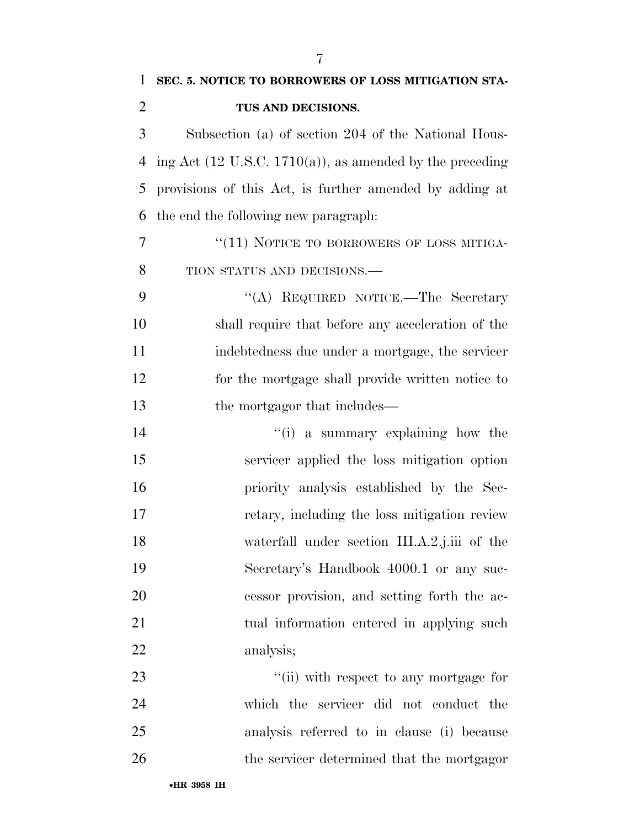| 1              | SEC. 5. NOTICE TO BORROWERS OF LOSS MITIGATION STA-                  |
|----------------|----------------------------------------------------------------------|
| $\overline{2}$ | TUS AND DECISIONS.                                                   |
| 3              | Subsection (a) of section 204 of the National Hous-                  |
| 4              | ing Act $(12 \text{ U.S.C. } 1710(a))$ , as amended by the preceding |
| 5              | provisions of this Act, is further amended by adding at              |
| 6              | the end the following new paragraph.                                 |
| 7              | "(11) NOTICE TO BORROWERS OF LOSS MITIGA-                            |
| 8              | TION STATUS AND DECISIONS.-                                          |
| 9              | "(A) REQUIRED NOTICE.—The Secretary                                  |
| 10             | shall require that before any acceleration of the                    |
| 11             | indebtedness due under a mortgage, the servicer                      |
| 12             | for the mortgage shall provide written notice to                     |
| 13             | the mortgagor that includes—                                         |
| 14             | "(i) a summary explaining how the                                    |
| 15             | servicer applied the loss mitigation option                          |
| 16             | priority analysis established by the Sec-                            |
| 17             | retary, including the loss mitigation review                         |
| 18             | waterfall under section III.A.2.j.iii of the                         |
| 19             | Secretary's Handbook 4000.1 or any suc-                              |
| 20             | cessor provision, and setting forth the ac-                          |
| 21             | tual information entered in applying such                            |
| 22             | analysis;                                                            |
| 23             | "(ii) with respect to any mortgage for                               |
| 24             | which the servicer did not conduct the                               |
| 25             | analysis referred to in clause (i) because                           |
| 26             | the servicer determined that the mortgagor                           |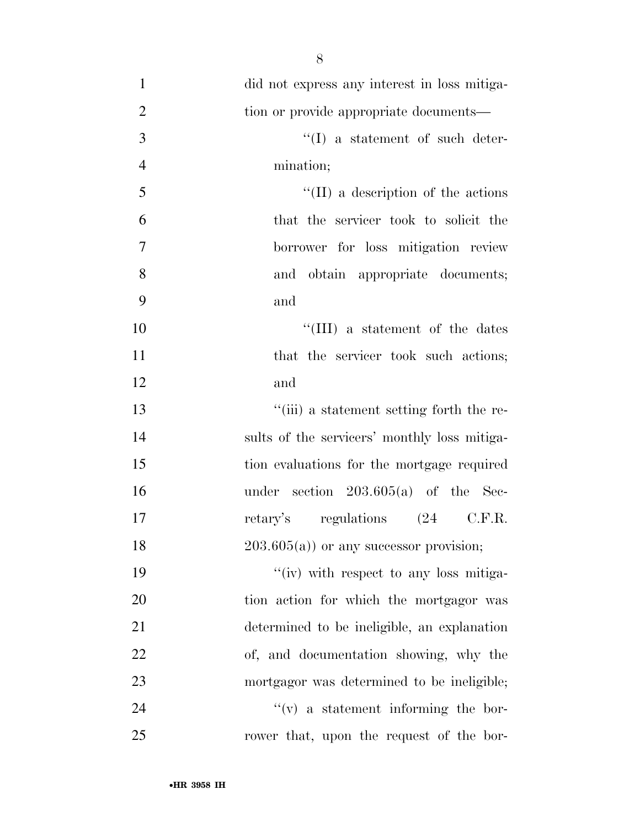| $\mathbf{1}$   | did not express any interest in loss mitiga- |
|----------------|----------------------------------------------|
| $\mathbf{2}$   | tion or provide appropriate documents-       |
| 3              | $``(I)$ a statement of such deter-           |
| $\overline{4}$ | mination;                                    |
| 5              | $\lq\lq$ (II) a description of the actions   |
| 6              | that the servicer took to solicit the        |
| $\overline{7}$ | borrower for loss mitigation review          |
| 8              | and obtain appropriate documents;            |
| 9              | and                                          |
| 10             | "(III) a statement of the dates              |
| 11             | that the servicer took such actions;         |
| 12             | and                                          |
| 13             | "(iii) a statement setting forth the re-     |
| 14             | sults of the servicers' monthly loss mitiga- |
| 15             | tion evaluations for the mortgage required   |
| 16             | under section $203.605(a)$ of the Sec-       |
| 17             | retary's regulations (24 C.F.R.              |
| 18             | $203.605(a)$ or any successor provision;     |
| 19             | "(iv) with respect to any loss mitiga-       |
| 20             | tion action for which the mortgagor was      |
| 21             | determined to be ineligible, an explanation  |
| 22             | of, and documentation showing, why the       |
| 23             | mortgagor was determined to be ineligible;   |
| 24             | $f'(v)$ a statement informing the bor-       |
| 25             | rower that, upon the request of the bor-     |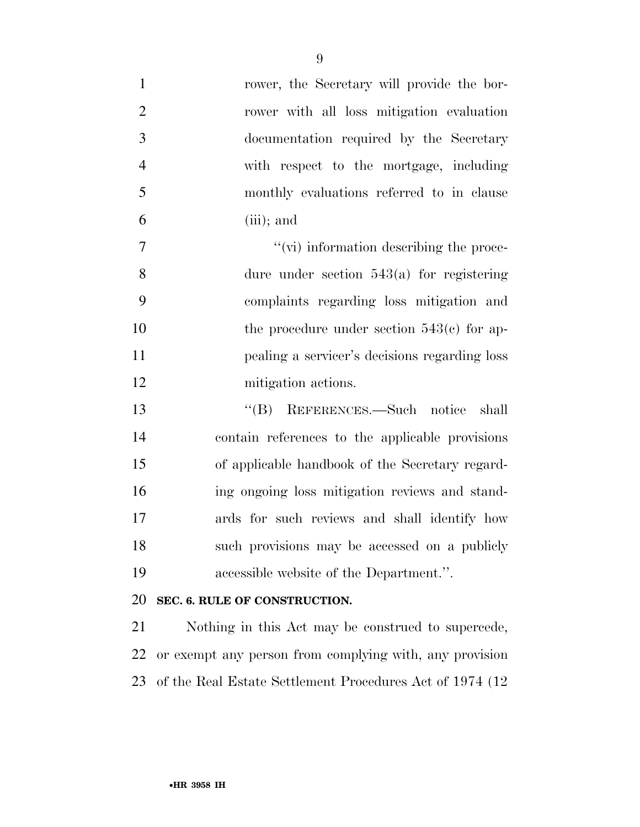| $\mathbf{1}$   | rower, the Secretary will provide the bor-                |
|----------------|-----------------------------------------------------------|
| $\overline{2}$ | rower with all loss mitigation evaluation                 |
| 3              | documentation required by the Secretary                   |
| $\overline{4}$ | with respect to the mortgage, including                   |
| 5              | monthly evaluations referred to in clause                 |
| 6              | $(iii)$ ; and                                             |
| 7              | $\lq\lq$ (vi) information describing the proce-           |
| 8              | dure under section $543(a)$ for registering               |
| 9              | complaints regarding loss mitigation and                  |
| 10             | the procedure under section $543(e)$ for ap-              |
| 11             | pealing a servicer's decisions regarding loss             |
| 12             | mitigation actions.                                       |
| 13             | "(B) REFERENCES.—Such notice<br>shall                     |
| 14             | contain references to the applicable provisions           |
| 15             | of applicable handbook of the Secretary regard-           |
| 16             | ing ongoing loss mitigation reviews and stand-            |
| 17             | ards for such reviews and shall identify how              |
| 18             | such provisions may be accessed on a publicly             |
| 19             | accessible website of the Department.".                   |
| 20             | SEC. 6. RULE OF CONSTRUCTION.                             |
| 21             | Nothing in this Act may be construed to supercede,        |
| 22             | or exempt any person from complying with, any provision   |
| 23             | of the Real Estate Settlement Procedures Act of 1974 (12) |